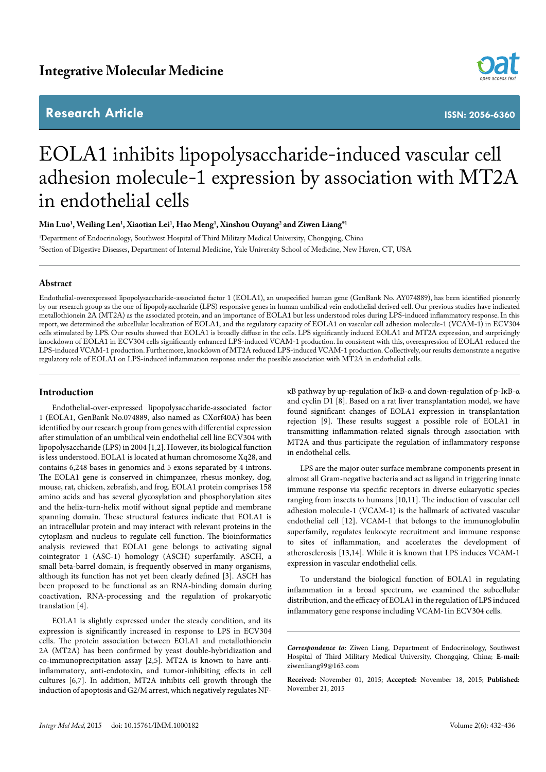## **Research Article**



**ISSN: 2056-6360**

# EOLA1 inhibits lipopolysaccharide-induced vascular cell adhesion molecule-1 expression by association with MT2A in endothelial cells

**Min Luo1 , Weiling Len1 , Xiaotian Lei1 , Hao Meng1 , Xinshou Ouyang2 and Ziwen Liang\*1**

1 Department of Endocrinology, Southwest Hospital of Third Military Medical University, Chongqing, China 2 Section of Digestive Diseases, Department of Internal Medicine, Yale University School of Medicine, New Haven, CT, USA

## **Abstract**

Endothelial-overexpressed lipopolysaccharide-associated factor 1 (EOLA1), an unspecified human gene (GenBank No. AY074889), has been identified pioneerly by our research group as the one of lipopolysaccharide (LPS) responsive genes in human umbilical vein endothelial derived cell. Our previous studies have indicated metallothionein 2A (MT2A) as the associated protein, and an importance of EOLA1 but less understood roles during LPS-induced inflammatory response. In this report, we determined the subcellular localization of EOLA1, and the regulatory capacity of EOLA1 on vascular cell adhesion molecule-1 (VCAM-1) in ECV304 cells stimulated by LPS. Our results showed that EOLA1 is broadly diffuse in the cells. LPS significantly induced EOLA1 and MT2A expression, and surprisingly knockdown of EOLA1 in ECV304 cells significantly enhanced LPS-induced VCAM-1 production. In consistent with this, overexpression of EOLA1 reduced the LPS-induced VCAM-1 production. Furthermore, knockdown of MT2A reduced LPS-induced VCAM-1 production. Collectively, our results demonstrate a negative regulatory role of EOLA1 on LPS-induced inflammation response under the possible association with MT2A in endothelial cells.

## **Introduction**

Endothelial-over-expressed lipopolysaccharide-associated factor 1 (EOLA1, GenBank No.074889, also named as CXorf40A) has been identified by our research group from genes with differential expression after stimulation of an umbilical vein endothelial cell line ECV304 with lipopolysaccharide (LPS) in 2004 [1,2]. However, its biological function is less understood. EOLA1 is located at human chromosome Xq28, and contains 6,248 bases in genomics and 5 exons separated by 4 introns. The EOLA1 gene is conserved in chimpanzee, rhesus monkey, dog, mouse, rat, chicken, zebrafish, and frog. EOLA1 protein comprises 158 amino acids and has several glycosylation and phosphorylation sites and the helix-turn-helix motif without signal peptide and membrane spanning domain. These structural features indicate that EOLA1 is an intracellular protein and may interact with relevant proteins in the cytoplasm and nucleus to regulate cell function. The bioinformatics analysis reviewed that EOLA1 gene belongs to activating signal cointegrator 1 (ASC-1) homology (ASCH) superfamily. ASCH, a small beta-barrel domain, is frequently observed in many organisms, although its function has not yet been clearly defined [3]. ASCH has been proposed to be functional as an RNA-binding domain during coactivation, RNA-processing and the regulation of prokaryotic translation [4].

EOLA1 is slightly expressed under the steady condition, and its expression is significantly increased in response to LPS in ECV304 cells. The protein association between EOLA1 and metallothionein 2A (MT2A) has been confirmed by yeast double-hybridization and co-immunoprecipitation assay [2,5]. MT2A is known to have antiinflammatory, anti-endotoxin, and tumor-inhibiting effects in cell cultures [6,7]. In addition, MT2A inhibits cell growth through the induction of apoptosis and G2/M arrest, which negatively regulates NF-

κB pathway by up-regulation of IκB-α and down-regulation of p-IκB-α and cyclin D1 [8]. Based on a rat liver transplantation model, we have found significant changes of EOLA1 expression in transplantation rejection [9]. These results suggest a possible role of EOLA1 in transmitting inflammation-related signals through association with MT2A and thus participate the regulation of inflammatory response in endothelial cells.

LPS are the major outer surface membrane components present in almost all Gram-negative bacteria and act as ligand in triggering innate immune response via specific receptors in diverse eukaryotic species ranging from insects to humans [10,11]. The induction of vascular cell adhesion molecule-1 (VCAM-1) is the hallmark of activated vascular endothelial cell [12]. VCAM-1 that belongs to the immunoglobulin superfamily, regulates leukocyte recruitment and immune response to sites of inflammation, and accelerates the development of atherosclerosis [13,14]. While it is known that LPS induces VCAM-1 expression in vascular endothelial cells.

To understand the biological function of EOLA1 in regulating inflammation in a broad spectrum, we examined the subcellular distribution, and the efficacy of EOLA1 in the regulation of LPS induced inflammatory gene response including VCAM-1in ECV304 cells.

*Correspondence to:* Ziwen Liang, Department of Endocrinology, Southwest Hospital of Third Military Medical University, Chongqing, China; **E-mail:** ziwenliang99@163.com

**Received:** November 01, 2015; **Accepted:** November 18, 2015; **Published:**  November 21, 2015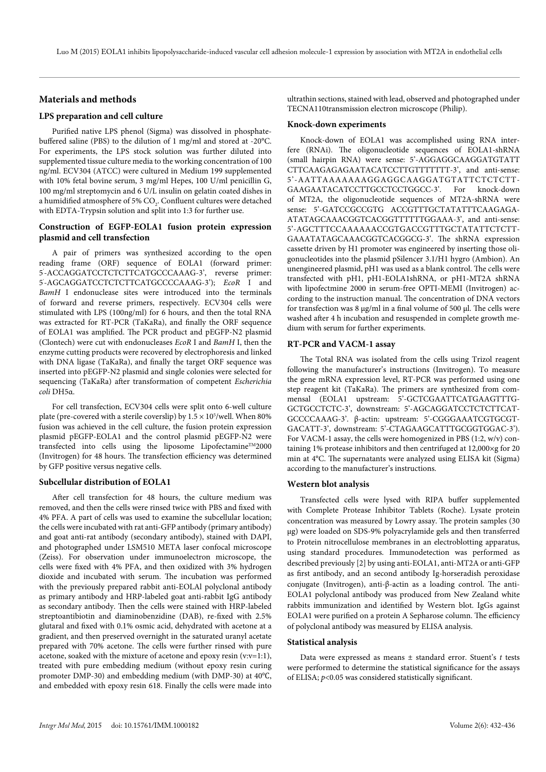#### **Materials and methods**

#### **LPS preparation and cell culture**

Purified native LPS phenol (Sigma) was dissolved in phosphatebuffered saline (PBS) to the dilution of 1 mg/ml and stored at -20°C. For experiments, the LPS stock solution was further diluted into supplemented tissue culture media to the working concentration of 100 ng/ml. ECV304 (ATCC) were cultured in Medium 199 supplemented with 10% fetal bovine serum, 3 mg/ml Hepes, 100 U/ml penicillin G, 100 mg/ml streptomycin and 6 U/L insulin on gelatin coated dishes in a humidified atmosphere of 5%  $\mathrm{CO}_2$ . Confluent cultures were detached with EDTA-Trypsin solution and split into 1:3 for further use.

## **Construction of EGFP-EOLA1 fusion protein expression plasmid and cell transfection**

A pair of primers was synthesized according to the open reading frame (ORF) sequence of EOLA1 (forward primer: 5' -ACCAGGATCCTCTCTTCATGCCCAAAG-3', reverse primer: 5' -AGCAGGATCCTCTCTTCATGCCCCAAAG-3'); *EcoR* I and *BamH* I endonuclease sites were introduced into the terminals of forward and reverse primers, respectively. ECV304 cells were stimulated with LPS (100ng/ml) for 6 hours, and then the total RNA was extracted for RT-PCR (TaKaRa), and finally the ORF sequence of EOLA1 was amplified. The PCR product and pEGFP-N2 plasmid (Clontech) were cut with endonucleases *EcoR* I and *BamH* I, then the enzyme cutting products were recovered by electrophoresis and linked with DNA ligase (TaKaRa), and finally the target ORF sequence was inserted into pEGFP-N2 plasmid and single colonies were selected for sequencing (TaKaRa) after transformation of competent *Escherichia coli* DH5α.

For cell transfection, ECV304 cells were split onto 6-well culture plate (pre-covered with a sterile coverslip) by  $1.5 \times 10^5$ /well. When 80% fusion was achieved in the cell culture, the fusion protein expression plasmid pEGFP-EOLA1 and the control plasmid pEGFP-N2 were transfected into cells using the liposome Lipofectamine<sup>™2000</sup> (Invitrogen) for 48 hours. The transfection efficiency was determined by GFP positive versus negative cells.

#### **Subcellular distribution of EOLA1**

After cell transfection for 48 hours, the culture medium was removed, and then the cells were rinsed twice with PBS and fixed with 4% PFA. A part of cells was used to examine the subcellular location; the cells were incubated with rat anti-GFP antibody (primary antibody) and goat anti-rat antibody (secondary antibody), stained with DAPI, and photographed under LSM510 META laser confocal microscope (Zeiss). For observation under immunoelectron microscope, the cells were fixed with 4% PFA, and then oxidized with 3% hydrogen dioxide and incubated with serum. The incubation was performed with the previously prepared rabbit anti-EOLAl polyclonal antibody as primary antibody and HRP-labeled goat anti-rabbit IgG antibody as secondary antibody. Then the cells were stained with HRP-labeled streptoantibiotin and diaminobenzidine (DAB), re-fixed with 2.5% glutaral and fixed with 0.1% osmic acid, dehydrated with acetone at a gradient, and then preserved overnight in the saturated uranyl acetate prepared with 70% acetone. The cells were further rinsed with pure acetone, soaked with the mixture of acetone and epoxy resin (v:v=1:1), treated with pure embedding medium (without epoxy resin curing promoter DMP-30) and embedding medium (with DMP-30) at 40℃, and embedded with epoxy resin 618. Finally the cells were made into

ultrathin sections, stained with lead, observed and photographed under TECNA110transmission electron microscope (Philip).

#### **Knock-down experiments**

Knock-down of EOLA1 was accomplished using RNA interfere (RNAi). The oligonucleotide sequences of EOLA1-shRNA (small hairpin RNA) were sense: 5'-AGGAGGCAAGGATGTATT CTTCAAGAGAGAATACATCCTTGTTTTTTT-3', and anti-sense: 5'-AATTAAAAAAAGGAGGCAAGGATGTATTCTCTCTT-GAAGAATACATCCTTGCCTCCTGGCC-3'. For knock-down of MT2A, the oligonucleotide sequences of MT2A-shRNA were sense: 5'-GATCCGCCGTG ACCGTTTGCTATATTTCAAGAGA-ATATAGCAAACGGTCACGGTTTTTTGGAAA-3', and anti-sense: 5'-AGCTTTCCAAAAAACCGTGACCGTTTGCTATATTCTCTT-GAAATATAGCAAACGGTCACGGCG-3'. The shRNA expression cassette driven by H1 promoter was engineered by inserting those oligonucleotides into the plasmid pSilencer 3.1/H1 hygro (Ambion). An unengineered plasmid, pH1 was used as a blank control. The cells were transfected with pH1, pH1-EOLA1shRNA, or pH1-MT2A shRNA with lipofectmine 2000 in serum-free OPTI-MEMI (Invitrogen) according to the instruction manual. The concentration of DNA vectors for transfection was  $8 \mu g/ml$  in a final volume of 500  $\mu$ l. The cells were washed after 4 h incubation and resuspended in complete growth medium with serum for further experiments.

#### **RT-PCR and VACM-1 assay**

The Total RNA was isolated from the cells using Trizol reagent following the manufacturer's instructions (Invitrogen). To measure the gene mRNA expression level, RT-PCR was performed using one step reagent kit (TaKaRa). The primers are synthesized from commensal (EOLA1 upstream: 5'-GCTCGAATTCATGAAGTTTG-GCTGCCTCTC-3', downstream: 5'-AGCAGGATCCTCTCTTCAT-GCCCCAAAG-3'. β-actin: upstream: 5'-CGGGAAATCGTGCGT-GACATT-3', downstream: 5'-CTAGAAGCATTTGCGGTGGAC-3'). For VACM-1 assay, the cells were homogenized in PBS (1:2, w/v) containing 1% protease inhibitors and then centrifuged at 12,000×g for 20 min at 4°C. The supernatants were analyzed using ELISA kit (Sigma) according to the manufacturer's instructions.

#### **Western blot analysis**

Transfected cells were lysed with RIPA buffer supplemented with Complete Protease Inhibitor Tablets (Roche). Lysate protein concentration was measured by Lowry assay. The protein samples (30 µg) were loaded on SDS-9% polyacrylamide gels and then transferred to Protein nitrocellulose membranes in an electroblotting apparatus, using standard procedures. Immunodetection was performed as described previously [2] by using anti-EOLA1, anti-MT2A or anti-GFP as first antibody, and an second antibody Ig-horseradish peroxidase conjugate (Invitrogen), anti-β-actin as a loading control. The anti-EOLA1 polyclonal antibody was produced from New Zealand white rabbits immunization and identified by Western blot. IgGs against EOLA1 were purified on a protein A Sepharose column. The efficiency of polyclonal antibody was measured by ELISA analysis.

#### **Statistical analysis**

Data were expressed as means ± standard error. Stuent's *t* tests were performed to determine the statistical significance for the assays of ELISA; *p*<0.05 was considered statistically significant.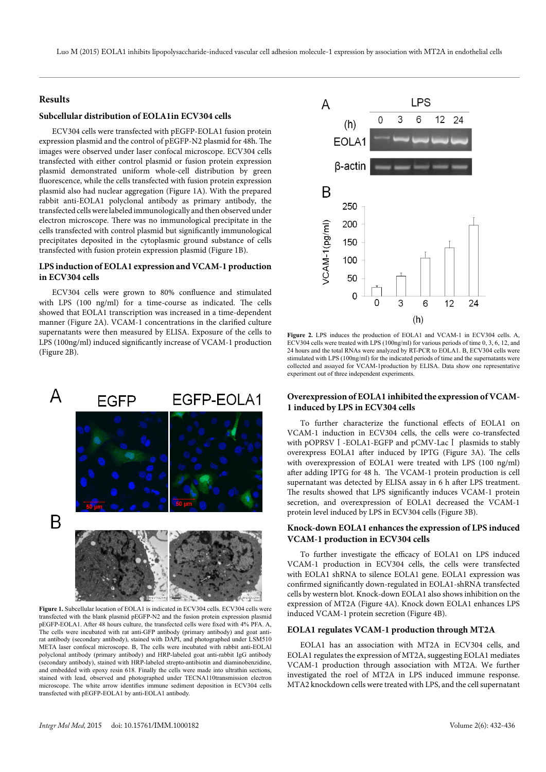## **Results**

## **Subcellular distribution of EOLA1in ECV304 cells**

ECV304 cells were transfected with pEGFP-EOLA1 fusion protein expression plasmid and the control of pEGFP-N2 plasmid for 48h. The images were observed under laser confocal microscope. ECV304 cells transfected with either control plasmid or fusion protein expression plasmid demonstrated uniform whole-cell distribution by green fluorescence, while the cells transfected with fusion protein expression plasmid also had nuclear aggregation (Figure 1A). With the prepared rabbit anti-EOLA1 polyclonal antibody as primary antibody, the transfected cells were labeled immunologically and then observed under electron microscope. There was no immunological precipitate in the cells transfected with control plasmid but significantly immunological precipitates deposited in the cytoplasmic ground substance of cells transfected with fusion protein expression plasmid (Figure 1B).

## **LPS induction of EOLA1 expression and VCAM-1 production in ECV304 cells**

ECV304 cells were grown to 80% confluence and stimulated with LPS (100 ng/ml) for a time-course as indicated. The cells showed that EOLA1 transcription was increased in a time-dependent manner (Figure 2A). VCAM-1 concentrations in the clarified culture supernatants were then measured by ELISA. Exposure of the cells to LPS (100ng/ml) induced significantly increase of VCAM-1 production (Figure 2B).



Figure 1. Subcellular location of EOLA1 is indicated in ECV304 cells. ECV304 cells were transfected with the blank plasmid pEGFP-N2 and the fusion protein expression plasmid pEGFP-EOLA1. After 48 hours culture, the transfected cells were fixed with 4% PFA. A, The cells were incubated with rat anti-GFP antibody (primary antibody) and goat antirat antibody (secondary antibody), stained with DAPI, and photographed under LSM510 META laser confocal microscope. B, The cells were incubated with rabbit anti-EOLAl polyclonal antibody (primary antibody) and HRP-labeled goat anti-rabbit IgG antibody (secondary antibody), stained with HRP-labeled strepto-antibiotin and diaminobenzidine, and embedded with epoxy resin 618. Finally the cells were made into ultrathin sections, stained with lead, observed and photographed under TECNA110transmission electron microscope. The white arrow identifies immune sediment deposition in ECV304 cells transfected with pEGFP-EOLA1 by anti-EOLA1 antibody.



**Figure 2.** LPS induces the production of EOLA1 and VCAM-1 in ECV304 cells. A, ECV304 cells were treated with LPS (100ng/ml) for various periods of time 0, 3, 6, 12, and 24 hours and the total RNAs were analyzed by RT-PCR to EOLA1, B, ECV304 cells were stimulated with LPS (100ng/ml) for the indicated periods of time and the supernatants were collected and assayed for VCAM-1production by ELISA. Data show one representative experiment out of three independent experiments.

## **Overexpression of EOLA1 inhibited the expression of VCAM-1 induced by LPS in ECV304 cells**

To further characterize the functional effects of EOLA1 on VCAM-1 induction in ECV304 cells, the cells were co-transfected with pOPRSV I -EOLA1-EGFP and pCMV-Lac I plasmids to stably overexpress EOLA1 after induced by IPTG (Figure 3A). The cells with overexpression of EOLA1 were treated with LPS (100 ng/ml) after adding IPTG for 48 h. The VCAM-1 protein production is cell supernatant was detected by ELISA assay in 6 h after LPS treatment. The results showed that LPS significantly induces VCAM-1 protein secretion, and overexpression of EOLA1 decreased the VCAM-1 protein level induced by LPS in ECV304 cells (Figure 3B).

## **Knock-down EOLA1 enhances the expression of LPS induced VCAM-1 production in ECV304 cells**

To further investigate the efficacy of EOLA1 on LPS induced VCAM-1 production in ECV304 cells, the cells were transfected with EOLA1 shRNA to silence EOLA1 gene. EOLA1 expression was confirmed significantly down-regulated in EOLA1-shRNA transfected cells by western blot. Knock-down EOLA1 also shows inhibition on the expression of MT2A (Figure 4A). Knock down EOLA1 enhances LPS induced VCAM-1 protein secretion (Figure 4B).

## **EOLA1 regulates VCAM-1 production through MT2A**

EOLA1 has an association with MT2A in ECV304 cells, and EOLA1 regulates the expression of MT2A, suggesting EOLA1 mediates VCAM-1 production through association with MT2A. We further investigated the roel of MT2A in LPS induced immune response. MTA2 knockdown cells were treated with LPS, and the cell supernatant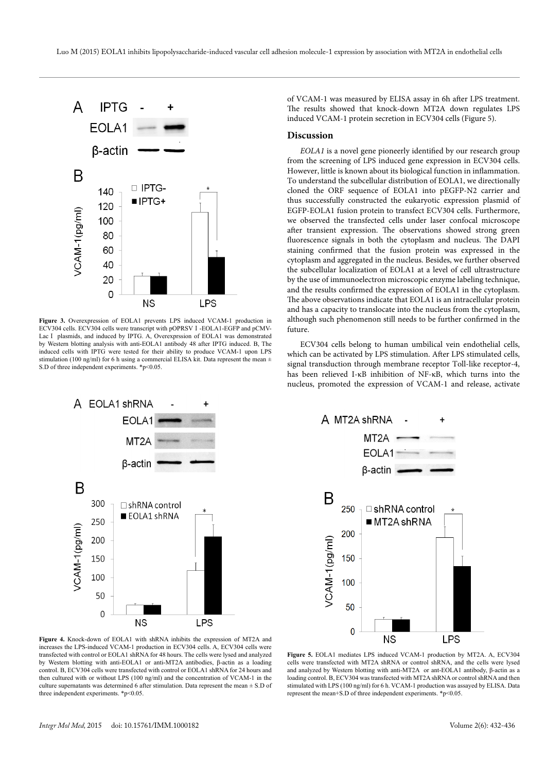

**Figure 3.** Overexpression of EOLA1 prevents LPS induced VCAM-1 production in ECV304 cells. ECV304 cells were transcript with pOPRSVⅠ-EOLA1-EGFP and pCMV-Lac I plasmids, and induced by IPTG. A, Overexprssion of EOLA1 was demonstrated by Western blotting analysis with anti-EOLA1 antibody 48 after IPTG induced. B, The induced cells with IPTG were tested for their ability to produce VCAM-1 upon LPS stimulation (100 ng/ml) for 6 h using a commercial ELISA kit. Data represent the mean ± S.D of three independent experiments. \*p<0.05.



of VCAM-1 was measured by ELISA assay in 6h after LPS treatment. The results showed that knock-down MT2A down regulates LPS induced VCAM-1 protein secretion in ECV304 cells (Figure 5).

#### **Discussion**

*EOLA1* is a novel gene pioneerly identified by our research group from the screening of LPS induced gene expression in ECV304 cells. However, little is known about its biological function in inflammation. To understand the subcellular distribution of EOLA1, we directionally cloned the ORF sequence of EOLA1 into pEGFP-N2 carrier and thus successfully constructed the eukaryotic expression plasmid of EGFP-EOLA1 fusion protein to transfect ECV304 cells. Furthermore, we observed the transfected cells under laser confocal microscope after transient expression. The observations showed strong green fluorescence signals in both the cytoplasm and nucleus. The DAPI staining confirmed that the fusion protein was expressed in the cytoplasm and aggregated in the nucleus. Besides, we further observed the subcellular localization of EOLA1 at a level of cell ultrastructure by the use of immunoelectron microscopic enzyme labeling technique, and the results confirmed the expression of EOLA1 in the cytoplasm. The above observations indicate that EOLA1 is an intracellular protein and has a capacity to translocate into the nucleus from the cytoplasm, although such phenomenon still needs to be further confirmed in the future.

ECV304 cells belong to human umbilical vein endothelial cells, which can be activated by LPS stimulation. After LPS stimulated cells, signal transduction through membrane receptor Toll-like receptor-4, has been relieved I-κB inhibition of NF-κB, which turns into the nucleus, promoted the expression of VCAM-1 and release, activate



**Figure 4.** Knock-down of EOLA1 with shRNA inhibits the expression of MT2A and increases the LPS-induced VCAM-1 production in ECV304 cells. A, ECV304 cells were transfected with control or EOLA1 shRNA for 48 hours. The cells were lysed and analyzed by Western blotting with anti-EOLA1 or anti-MT2A antibodies, β-actin as a loading control. B, ECV304 cells were transfected with control or EOLA1 shRNA for 24 hours and then cultured with or without LPS (100 ng/ml) and the concentration of VCAM-1 in the culture supernatants was determined 6 after stimulation. Data represent the mean ± S.D of three independent experiments. \*p<0.05.

**Figure 5.** EOLA1 mediates LPS induced VCAM-1 production by MT2A. A, ECV304 cells were transfected with MT2A shRNA or control shRNA, and the cells were lysed and analyzed by Western blotting with anti-MT2A or ant-EOLA1 antibody, β-actin as a loading control. B, ECV304 was transfected with MT2A shRNA or control shRNA and then stimulated with LPS (100 ng/ml) for 6 h. VCAM-1 production was assayed by ELISA. Data represent the mean+S.D of three independent experiments. \*p<0.05.